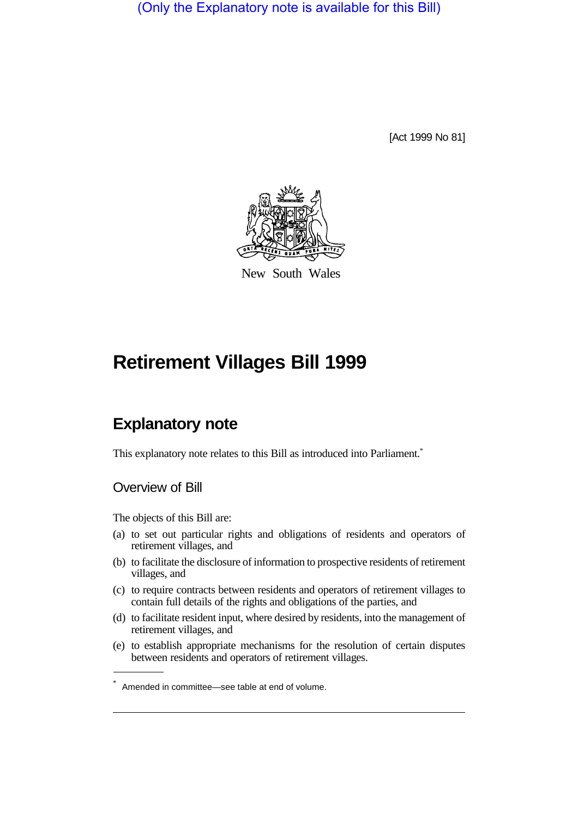(Only the Explanatory note is available for this Bill)

[Act 1999 No 81]



New South Wales

# **Retirement Villages Bill 1999**

## **Explanatory note**

This explanatory note relates to this Bill as introduced into Parliament.<sup>\*</sup>

#### Overview of Bill

The objects of this Bill are:

- (a) to set out particular rights and obligations of residents and operators of retirement villages, and
- (b) to facilitate the disclosure of information to prospective residents of retirement villages, and
- (c) to require contracts between residents and operators of retirement villages to contain full details of the rights and obligations of the parties, and
- (d) to facilitate resident input, where desired by residents, into the management of retirement villages, and
- (e) to establish appropriate mechanisms for the resolution of certain disputes between residents and operators of retirement villages.

<sup>\*</sup> Amended in committee—see table at end of volume.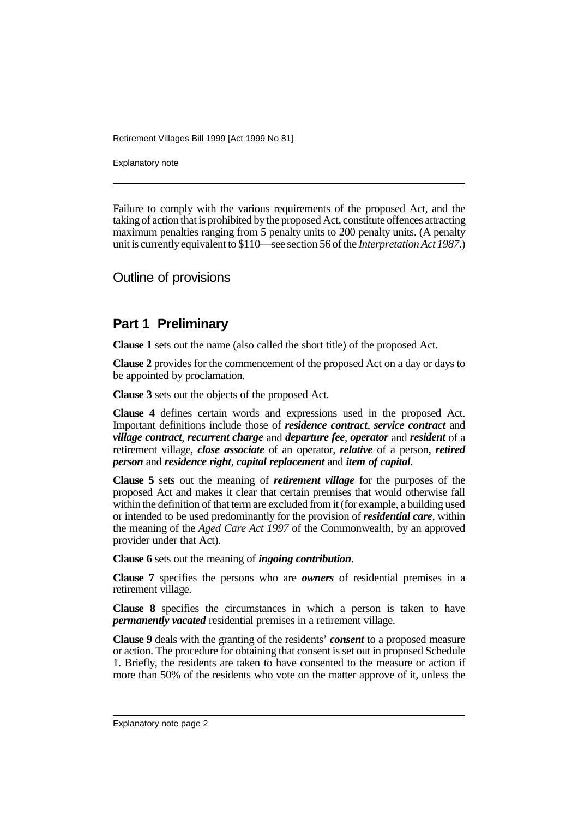Explanatory note

Failure to comply with the various requirements of the proposed Act, and the taking of action that is prohibited by the proposed Act, constitute offences attracting maximum penalties ranging from 5 penalty units to 200 penalty units. (A penalty unit is currently equivalent to \$110—see section 56 of the *Interpretation Act 1987.*)

Outline of provisions

#### **Part 1 Preliminary**

**Clause 1** sets out the name (also called the short title) of the proposed Act.

**Clause 2** provides for the commencement of the proposed Act on a day or days to be appointed by proclamation.

**Clause 3** sets out the objects of the proposed Act.

**Clause 4** defines certain words and expressions used in the proposed Act. Important definitions include those of *residence contract*, *service contract* and *village contract*, *recurrent charge* and *departure fee*, *operator* and *resident* of a retirement village, *close associate* of an operator, *relative* of a person, *retired person* and *residence right*, *capital replacement* and *item of capital*.

**Clause 5** sets out the meaning of *retirement village* for the purposes of the proposed Act and makes it clear that certain premises that would otherwise fall within the definition of that term are excluded from it (for example, a building used or intended to be used predominantly for the provision of *residential care*, within the meaning of the *Aged Care Act 1997* of the Commonwealth, by an approved provider under that Act).

**Clause 6** sets out the meaning of *ingoing contribution*.

**Clause 7** specifies the persons who are *owners* of residential premises in a retirement village.

**Clause 8** specifies the circumstances in which a person is taken to have *permanently vacated* residential premises in a retirement village.

**Clause 9** deals with the granting of the residents' *consent* to a proposed measure or action. The procedure for obtaining that consent is set out in proposed Schedule 1. Briefly, the residents are taken to have consented to the measure or action if more than 50% of the residents who vote on the matter approve of it, unless the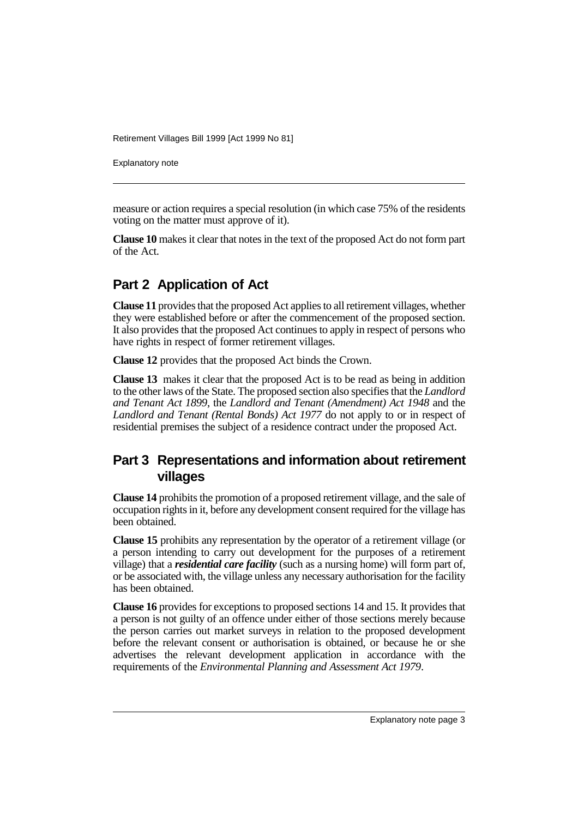Explanatory note

measure or action requires a special resolution (in which case 75% of the residents voting on the matter must approve of it).

**Clause 10** makes it clear that notes in the text of the proposed Act do not form part of the Act.

## **Part 2 Application of Act**

**Clause 11** provides that the proposed Act applies to all retirement villages, whether they were established before or after the commencement of the proposed section. It also provides that the proposed Act continues to apply in respect of persons who have rights in respect of former retirement villages.

**Clause 12** provides that the proposed Act binds the Crown.

**Clause 13** makes it clear that the proposed Act is to be read as being in addition to the other laws of the State. The proposed section also specifies that the *Landlord and Tenant Act 1899*, the *Landlord and Tenant (Amendment) Act 1948* and the *Landlord and Tenant (Rental Bonds) Act 1977* do not apply to or in respect of residential premises the subject of a residence contract under the proposed Act.

## **Part 3 Representations and information about retirement villages**

**Clause 14** prohibits the promotion of a proposed retirement village, and the sale of occupation rights in it, before any development consent required for the village has been obtained.

**Clause 15** prohibits any representation by the operator of a retirement village (or a person intending to carry out development for the purposes of a retirement village) that a *residential care facility* (such as a nursing home) will form part of, or be associated with, the village unless any necessary authorisation for the facility has been obtained.

**Clause 16** provides for exceptions to proposed sections 14 and 15. It provides that a person is not guilty of an offence under either of those sections merely because the person carries out market surveys in relation to the proposed development before the relevant consent or authorisation is obtained, or because he or she advertises the relevant development application in accordance with the requirements of the *Environmental Planning and Assessment Act 1979*.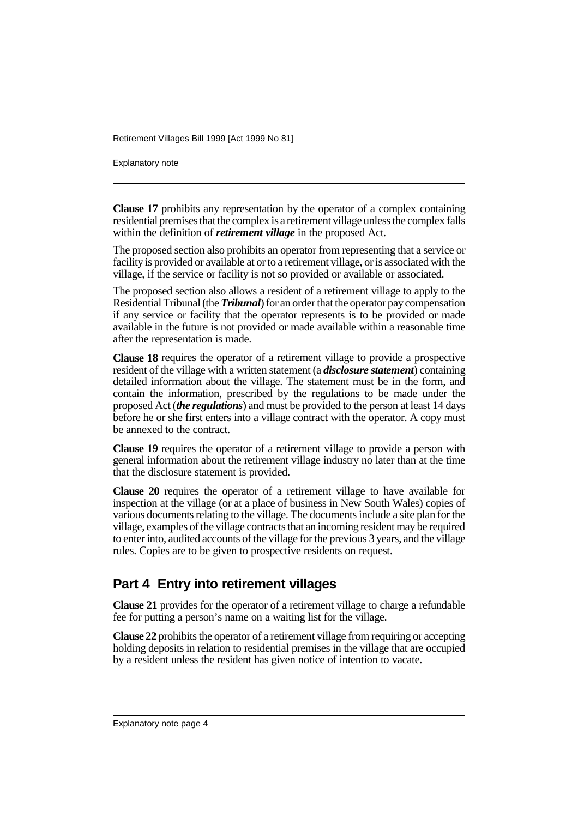Explanatory note

**Clause 17** prohibits any representation by the operator of a complex containing residential premises that the complex is a retirement village unless the complex falls within the definition of *retirement village* in the proposed Act.

The proposed section also prohibits an operator from representing that a service or facility is provided or available at or to a retirement village, or is associated with the village, if the service or facility is not so provided or available or associated.

The proposed section also allows a resident of a retirement village to apply to the Residential Tribunal (the *Tribunal*) for an order that the operator pay compensation if any service or facility that the operator represents is to be provided or made available in the future is not provided or made available within a reasonable time after the representation is made.

**Clause 18** requires the operator of a retirement village to provide a prospective resident of the village with a written statement (a *disclosure statement*) containing detailed information about the village. The statement must be in the form, and contain the information, prescribed by the regulations to be made under the proposed Act (*the regulations*) and must be provided to the person at least 14 days before he or she first enters into a village contract with the operator. A copy must be annexed to the contract.

**Clause 19** requires the operator of a retirement village to provide a person with general information about the retirement village industry no later than at the time that the disclosure statement is provided.

**Clause 20** requires the operator of a retirement village to have available for inspection at the village (or at a place of business in New South Wales) copies of various documents relating to the village. The documents include a site plan for the village, examples of the village contracts that an incoming resident may be required to enter into, audited accounts of the village for the previous 3 years, and the village rules. Copies are to be given to prospective residents on request.

## **Part 4 Entry into retirement villages**

**Clause 21** provides for the operator of a retirement village to charge a refundable fee for putting a person's name on a waiting list for the village.

**Clause 22** prohibits the operator of a retirement village from requiring or accepting holding deposits in relation to residential premises in the village that are occupied by a resident unless the resident has given notice of intention to vacate.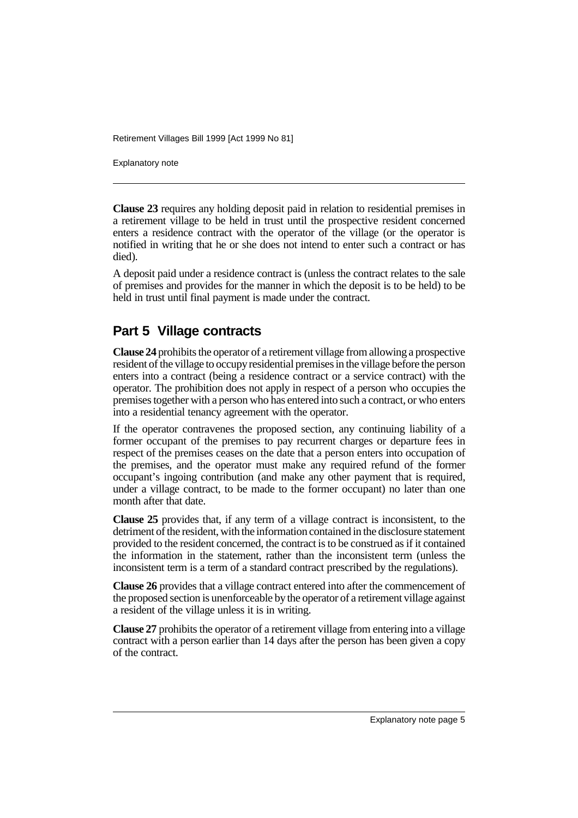Explanatory note

**Clause 23** requires any holding deposit paid in relation to residential premises in a retirement village to be held in trust until the prospective resident concerned enters a residence contract with the operator of the village (or the operator is notified in writing that he or she does not intend to enter such a contract or has died).

A deposit paid under a residence contract is (unless the contract relates to the sale of premises and provides for the manner in which the deposit is to be held) to be held in trust until final payment is made under the contract.

#### **Part 5 Village contracts**

**Clause 24** prohibits the operator of a retirement village from allowing a prospective resident of the village to occupy residential premises in the village before the person enters into a contract (being a residence contract or a service contract) with the operator. The prohibition does not apply in respect of a person who occupies the premises together with a person who has entered into such a contract, or who enters into a residential tenancy agreement with the operator.

If the operator contravenes the proposed section, any continuing liability of a former occupant of the premises to pay recurrent charges or departure fees in respect of the premises ceases on the date that a person enters into occupation of the premises, and the operator must make any required refund of the former occupant's ingoing contribution (and make any other payment that is required, under a village contract, to be made to the former occupant) no later than one month after that date.

**Clause 25** provides that, if any term of a village contract is inconsistent, to the detriment of the resident, with the information contained in the disclosure statement provided to the resident concerned, the contract is to be construed as if it contained the information in the statement, rather than the inconsistent term (unless the inconsistent term is a term of a standard contract prescribed by the regulations).

**Clause 26** provides that a village contract entered into after the commencement of the proposed section is unenforceable by the operator of a retirement village against a resident of the village unless it is in writing.

**Clause 27** prohibits the operator of a retirement village from entering into a village contract with a person earlier than 14 days after the person has been given a copy of the contract.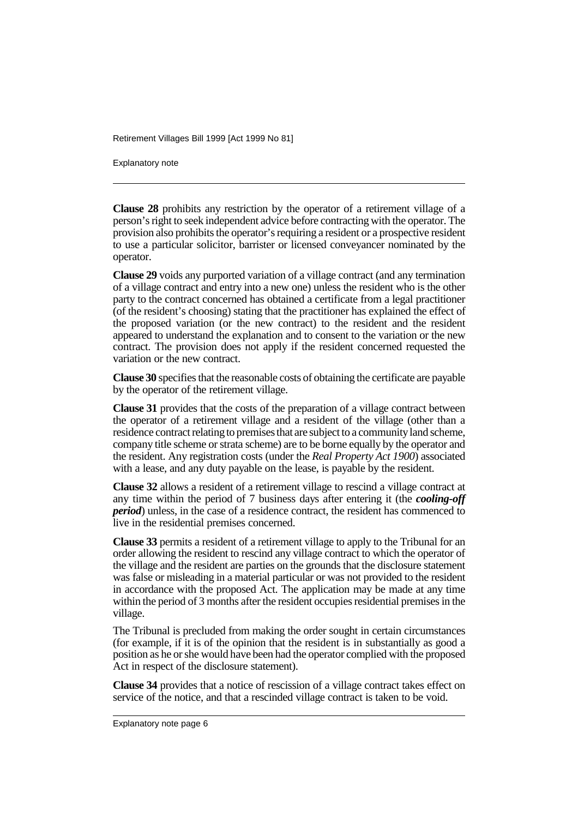Explanatory note

**Clause 28** prohibits any restriction by the operator of a retirement village of a person's right to seek independent advice before contracting with the operator. The provision also prohibits the operator's requiring a resident or a prospective resident to use a particular solicitor, barrister or licensed conveyancer nominated by the operator.

**Clause 29** voids any purported variation of a village contract (and any termination of a village contract and entry into a new one) unless the resident who is the other party to the contract concerned has obtained a certificate from a legal practitioner (of the resident's choosing) stating that the practitioner has explained the effect of the proposed variation (or the new contract) to the resident and the resident appeared to understand the explanation and to consent to the variation or the new contract. The provision does not apply if the resident concerned requested the variation or the new contract.

**Clause 30** specifies that the reasonable costs of obtaining the certificate are payable by the operator of the retirement village.

**Clause 31** provides that the costs of the preparation of a village contract between the operator of a retirement village and a resident of the village (other than a residence contract relating to premises that are subject to a community land scheme, company title scheme or strata scheme) are to be borne equally by the operator and the resident. Any registration costs (under the *Real Property Act 1900*) associated with a lease, and any duty payable on the lease, is payable by the resident.

**Clause 32** allows a resident of a retirement village to rescind a village contract at any time within the period of 7 business days after entering it (the *cooling-off period*) unless, in the case of a residence contract, the resident has commenced to live in the residential premises concerned.

**Clause 33** permits a resident of a retirement village to apply to the Tribunal for an order allowing the resident to rescind any village contract to which the operator of the village and the resident are parties on the grounds that the disclosure statement was false or misleading in a material particular or was not provided to the resident in accordance with the proposed Act. The application may be made at any time within the period of 3 months after the resident occupies residential premises in the village.

The Tribunal is precluded from making the order sought in certain circumstances (for example, if it is of the opinion that the resident is in substantially as good a position as he or she would have been had the operator complied with the proposed Act in respect of the disclosure statement).

**Clause 34** provides that a notice of rescission of a village contract takes effect on service of the notice, and that a rescinded village contract is taken to be void.

Explanatory note page 6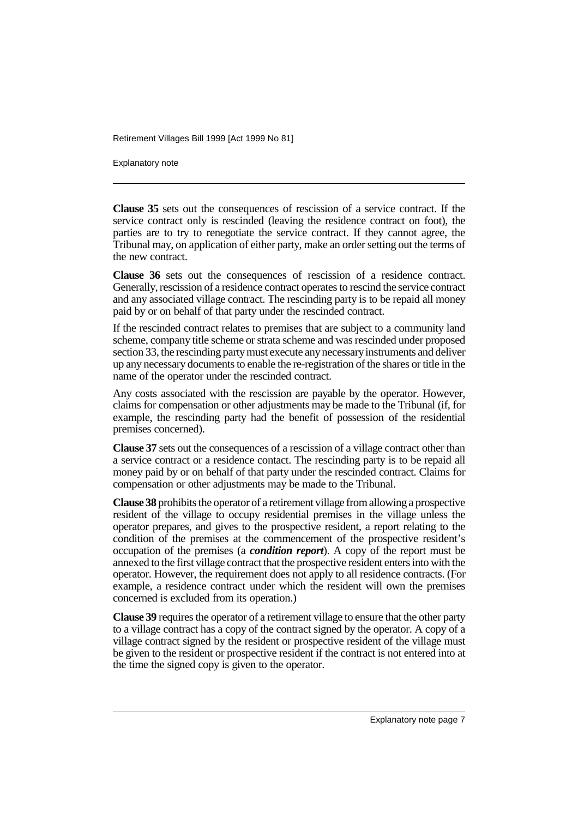Explanatory note

**Clause 35** sets out the consequences of rescission of a service contract. If the service contract only is rescinded (leaving the residence contract on foot), the parties are to try to renegotiate the service contract. If they cannot agree, the Tribunal may, on application of either party, make an order setting out the terms of the new contract.

**Clause 36** sets out the consequences of rescission of a residence contract. Generally, rescission of a residence contract operates to rescind the service contract and any associated village contract. The rescinding party is to be repaid all money paid by or on behalf of that party under the rescinded contract.

If the rescinded contract relates to premises that are subject to a community land scheme, company title scheme or strata scheme and was rescinded under proposed section 33, the rescinding party must execute any necessary instruments and deliver up any necessary documents to enable the re-registration of the shares or title in the name of the operator under the rescinded contract.

Any costs associated with the rescission are payable by the operator. However, claims for compensation or other adjustments may be made to the Tribunal (if, for example, the rescinding party had the benefit of possession of the residential premises concerned).

**Clause 37** sets out the consequences of a rescission of a village contract other than a service contract or a residence contact. The rescinding party is to be repaid all money paid by or on behalf of that party under the rescinded contract. Claims for compensation or other adjustments may be made to the Tribunal.

**Clause 38** prohibits the operator of a retirement village from allowing a prospective resident of the village to occupy residential premises in the village unless the operator prepares, and gives to the prospective resident, a report relating to the condition of the premises at the commencement of the prospective resident's occupation of the premises (a *condition report*). A copy of the report must be annexed to the first village contract that the prospective resident enters into with the operator. However, the requirement does not apply to all residence contracts. (For example, a residence contract under which the resident will own the premises concerned is excluded from its operation.)

**Clause 39** requires the operator of a retirement village to ensure that the other party to a village contract has a copy of the contract signed by the operator. A copy of a village contract signed by the resident or prospective resident of the village must be given to the resident or prospective resident if the contract is not entered into at the time the signed copy is given to the operator.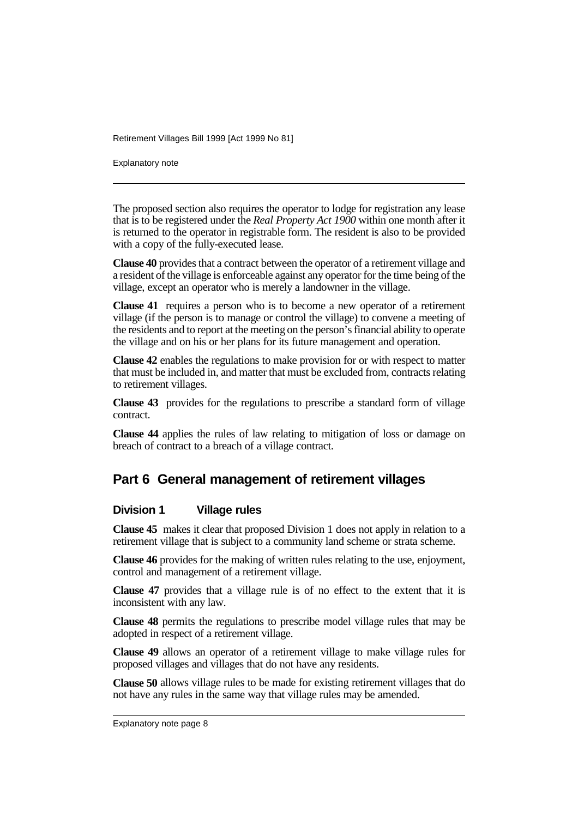Explanatory note

The proposed section also requires the operator to lodge for registration any lease that is to be registered under the *Real Property Act 1900* within one month after it is returned to the operator in registrable form. The resident is also to be provided with a copy of the fully-executed lease.

**Clause 40** provides that a contract between the operator of a retirement village and a resident of the village is enforceable against any operator for the time being of the village, except an operator who is merely a landowner in the village.

**Clause 41** requires a person who is to become a new operator of a retirement village (if the person is to manage or control the village) to convene a meeting of the residents and to report at the meeting on the person's financial ability to operate the village and on his or her plans for its future management and operation.

**Clause 42** enables the regulations to make provision for or with respect to matter that must be included in, and matter that must be excluded from, contracts relating to retirement villages.

**Clause 43** provides for the regulations to prescribe a standard form of village contract.

**Clause 44** applies the rules of law relating to mitigation of loss or damage on breach of contract to a breach of a village contract.

#### **Part 6 General management of retirement villages**

#### **Division 1 Village rules**

**Clause 45** makes it clear that proposed Division 1 does not apply in relation to a retirement village that is subject to a community land scheme or strata scheme.

**Clause 46** provides for the making of written rules relating to the use, enjoyment, control and management of a retirement village.

**Clause 47** provides that a village rule is of no effect to the extent that it is inconsistent with any law.

**Clause 48** permits the regulations to prescribe model village rules that may be adopted in respect of a retirement village.

**Clause 49** allows an operator of a retirement village to make village rules for proposed villages and villages that do not have any residents.

**Clause 50** allows village rules to be made for existing retirement villages that do not have any rules in the same way that village rules may be amended.

Explanatory note page 8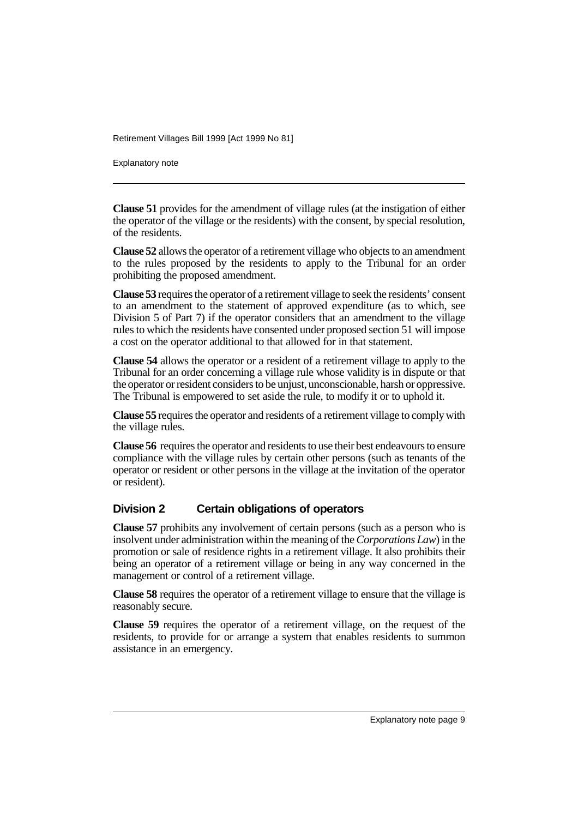Explanatory note

**Clause 51** provides for the amendment of village rules (at the instigation of either the operator of the village or the residents) with the consent, by special resolution, of the residents.

**Clause 52** allows the operator of a retirement village who objects to an amendment to the rules proposed by the residents to apply to the Tribunal for an order prohibiting the proposed amendment.

**Clause 53** requires the operator of a retirement village to seek the residents' consent to an amendment to the statement of approved expenditure (as to which, see Division 5 of Part 7) if the operator considers that an amendment to the village rules to which the residents have consented under proposed section 51 will impose a cost on the operator additional to that allowed for in that statement.

**Clause 54** allows the operator or a resident of a retirement village to apply to the Tribunal for an order concerning a village rule whose validity is in dispute or that the operator or resident considers to be unjust, unconscionable, harsh or oppressive. The Tribunal is empowered to set aside the rule, to modify it or to uphold it.

**Clause 55** requires the operator and residents of a retirement village to comply with the village rules.

**Clause 56** requires the operator and residents to use their best endeavours to ensure compliance with the village rules by certain other persons (such as tenants of the operator or resident or other persons in the village at the invitation of the operator or resident).

#### **Division 2 Certain obligations of operators**

**Clause 57** prohibits any involvement of certain persons (such as a person who is insolvent under administration within the meaning of the *Corporations Law*) in the promotion or sale of residence rights in a retirement village. It also prohibits their being an operator of a retirement village or being in any way concerned in the management or control of a retirement village.

**Clause 58** requires the operator of a retirement village to ensure that the village is reasonably secure.

**Clause 59** requires the operator of a retirement village, on the request of the residents, to provide for or arrange a system that enables residents to summon assistance in an emergency.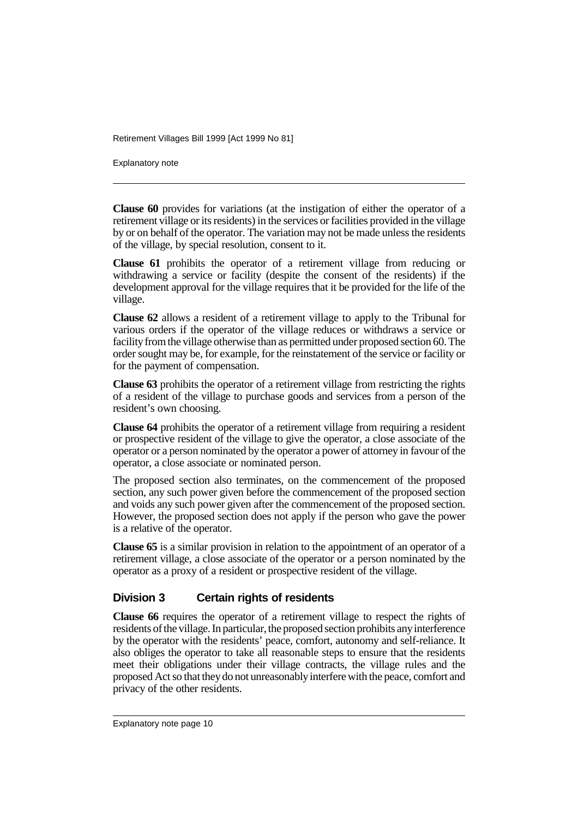Explanatory note

**Clause 60** provides for variations (at the instigation of either the operator of a retirement village or its residents) in the services or facilities provided in the village by or on behalf of the operator. The variation may not be made unless the residents of the village, by special resolution, consent to it.

**Clause 61** prohibits the operator of a retirement village from reducing or withdrawing a service or facility (despite the consent of the residents) if the development approval for the village requires that it be provided for the life of the village.

**Clause 62** allows a resident of a retirement village to apply to the Tribunal for various orders if the operator of the village reduces or withdraws a service or facility from the village otherwise than as permitted under proposed section 60. The order sought may be, for example, for the reinstatement of the service or facility or for the payment of compensation.

**Clause 63** prohibits the operator of a retirement village from restricting the rights of a resident of the village to purchase goods and services from a person of the resident's own choosing.

**Clause 64** prohibits the operator of a retirement village from requiring a resident or prospective resident of the village to give the operator, a close associate of the operator or a person nominated by the operator a power of attorney in favour of the operator, a close associate or nominated person.

The proposed section also terminates, on the commencement of the proposed section, any such power given before the commencement of the proposed section and voids any such power given after the commencement of the proposed section. However, the proposed section does not apply if the person who gave the power is a relative of the operator.

**Clause 65** is a similar provision in relation to the appointment of an operator of a retirement village, a close associate of the operator or a person nominated by the operator as a proxy of a resident or prospective resident of the village.

#### **Division 3 Certain rights of residents**

**Clause 66** requires the operator of a retirement village to respect the rights of residents of the village. In particular, the proposed section prohibits any interference by the operator with the residents' peace, comfort, autonomy and self-reliance. It also obliges the operator to take all reasonable steps to ensure that the residents meet their obligations under their village contracts, the village rules and the proposed Act so that they do not unreasonably interfere with the peace, comfort and privacy of the other residents.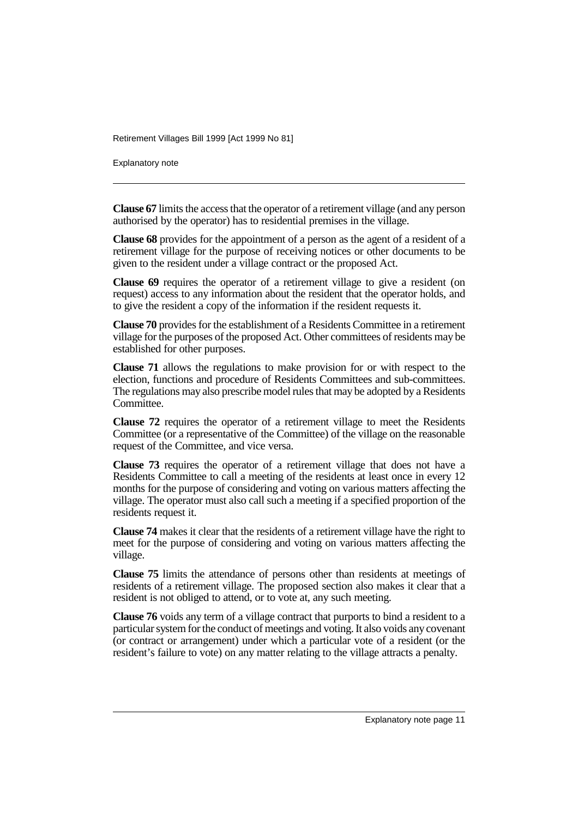Explanatory note

**Clause 67** limits the access that the operator of a retirement village (and any person authorised by the operator) has to residential premises in the village.

**Clause 68** provides for the appointment of a person as the agent of a resident of a retirement village for the purpose of receiving notices or other documents to be given to the resident under a village contract or the proposed Act.

**Clause 69** requires the operator of a retirement village to give a resident (on request) access to any information about the resident that the operator holds, and to give the resident a copy of the information if the resident requests it.

**Clause 70** provides for the establishment of a Residents Committee in a retirement village for the purposes of the proposed Act. Other committees of residents may be established for other purposes.

**Clause 71** allows the regulations to make provision for or with respect to the election, functions and procedure of Residents Committees and sub-committees. The regulations may also prescribe model rules that may be adopted by a Residents Committee.

**Clause 72** requires the operator of a retirement village to meet the Residents Committee (or a representative of the Committee) of the village on the reasonable request of the Committee, and vice versa.

**Clause 73** requires the operator of a retirement village that does not have a Residents Committee to call a meeting of the residents at least once in every 12 months for the purpose of considering and voting on various matters affecting the village. The operator must also call such a meeting if a specified proportion of the residents request it.

**Clause 74** makes it clear that the residents of a retirement village have the right to meet for the purpose of considering and voting on various matters affecting the village.

**Clause 75** limits the attendance of persons other than residents at meetings of residents of a retirement village. The proposed section also makes it clear that a resident is not obliged to attend, or to vote at, any such meeting.

**Clause 76** voids any term of a village contract that purports to bind a resident to a particular system for the conduct of meetings and voting. It also voids any covenant (or contract or arrangement) under which a particular vote of a resident (or the resident's failure to vote) on any matter relating to the village attracts a penalty.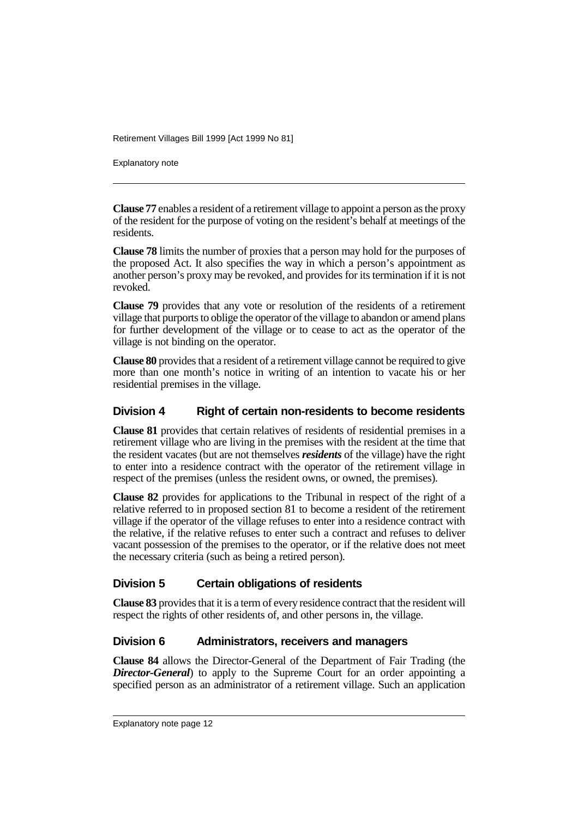Explanatory note

**Clause 77** enables a resident of a retirement village to appoint a person as the proxy of the resident for the purpose of voting on the resident's behalf at meetings of the residents.

**Clause 78** limits the number of proxies that a person may hold for the purposes of the proposed Act. It also specifies the way in which a person's appointment as another person's proxy may be revoked, and provides for its termination if it is not revoked.

**Clause 79** provides that any vote or resolution of the residents of a retirement village that purports to oblige the operator of the village to abandon or amend plans for further development of the village or to cease to act as the operator of the village is not binding on the operator.

**Clause 80** provides that a resident of a retirement village cannot be required to give more than one month's notice in writing of an intention to vacate his or her residential premises in the village.

#### **Division 4 Right of certain non-residents to become residents**

**Clause 81** provides that certain relatives of residents of residential premises in a retirement village who are living in the premises with the resident at the time that the resident vacates (but are not themselves *residents* of the village) have the right to enter into a residence contract with the operator of the retirement village in respect of the premises (unless the resident owns, or owned, the premises).

**Clause 82** provides for applications to the Tribunal in respect of the right of a relative referred to in proposed section 81 to become a resident of the retirement village if the operator of the village refuses to enter into a residence contract with the relative, if the relative refuses to enter such a contract and refuses to deliver vacant possession of the premises to the operator, or if the relative does not meet the necessary criteria (such as being a retired person).

#### **Division 5 Certain obligations of residents**

**Clause 83** provides that it is a term of every residence contract that the resident will respect the rights of other residents of, and other persons in, the village.

#### **Division 6 Administrators, receivers and managers**

**Clause 84** allows the Director-General of the Department of Fair Trading (the *Director-General*) to apply to the Supreme Court for an order appointing a specified person as an administrator of a retirement village. Such an application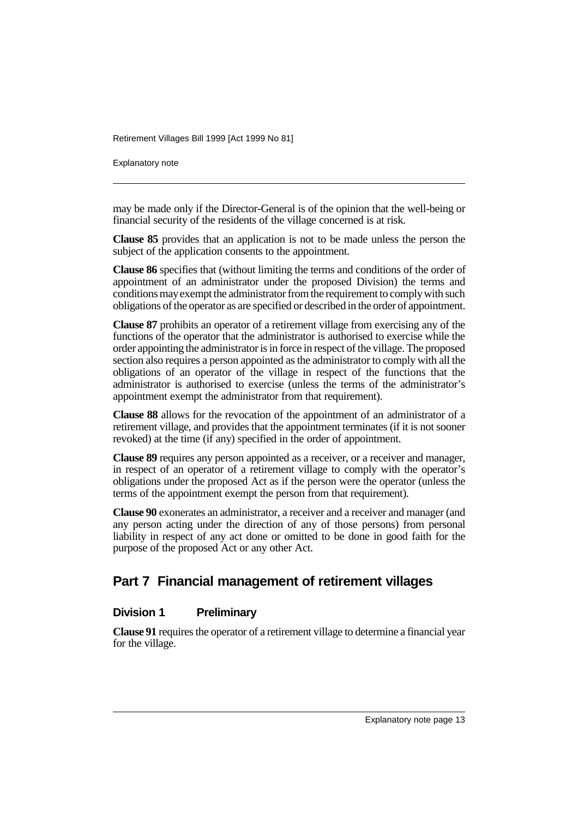Explanatory note

may be made only if the Director-General is of the opinion that the well-being or financial security of the residents of the village concerned is at risk.

**Clause 85** provides that an application is not to be made unless the person the subject of the application consents to the appointment.

**Clause 86** specifies that (without limiting the terms and conditions of the order of appointment of an administrator under the proposed Division) the terms and conditions may exempt the administrator from the requirement to comply with such obligations of the operator as are specified or described in the order of appointment.

**Clause 87** prohibits an operator of a retirement village from exercising any of the functions of the operator that the administrator is authorised to exercise while the order appointing the administrator is in force in respect of the village. The proposed section also requires a person appointed as the administrator to comply with all the obligations of an operator of the village in respect of the functions that the administrator is authorised to exercise (unless the terms of the administrator's appointment exempt the administrator from that requirement).

**Clause 88** allows for the revocation of the appointment of an administrator of a retirement village, and provides that the appointment terminates (if it is not sooner revoked) at the time (if any) specified in the order of appointment.

**Clause 89** requires any person appointed as a receiver, or a receiver and manager, in respect of an operator of a retirement village to comply with the operator's obligations under the proposed Act as if the person were the operator (unless the terms of the appointment exempt the person from that requirement).

**Clause 90** exonerates an administrator, a receiver and a receiver and manager (and any person acting under the direction of any of those persons) from personal liability in respect of any act done or omitted to be done in good faith for the purpose of the proposed Act or any other Act.

## **Part 7 Financial management of retirement villages**

#### **Division 1 Preliminary**

**Clause 91** requires the operator of a retirement village to determine a financial year for the village.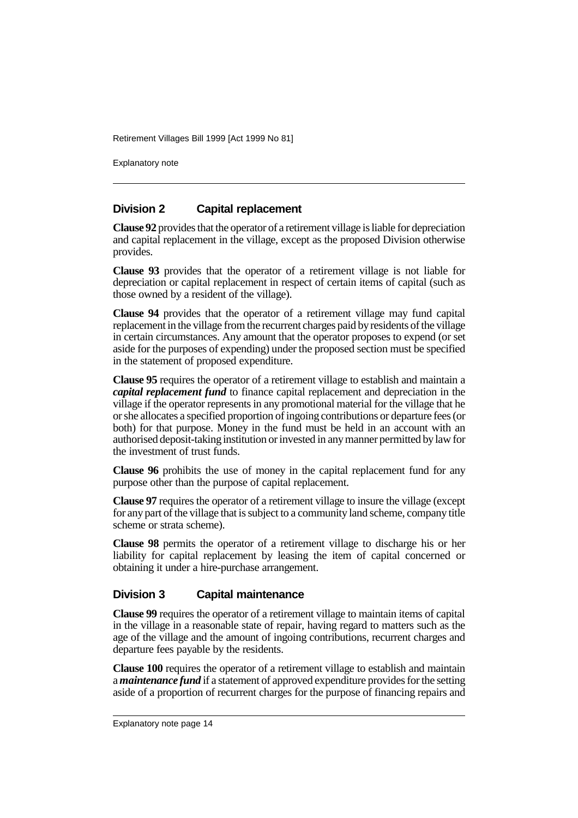Explanatory note

#### **Division 2 Capital replacement**

**Clause 92** provides that the operator of a retirement village is liable for depreciation and capital replacement in the village, except as the proposed Division otherwise provides.

**Clause 93** provides that the operator of a retirement village is not liable for depreciation or capital replacement in respect of certain items of capital (such as those owned by a resident of the village).

**Clause 94** provides that the operator of a retirement village may fund capital replacement in the village from the recurrent charges paid by residents of the village in certain circumstances. Any amount that the operator proposes to expend (or set aside for the purposes of expending) under the proposed section must be specified in the statement of proposed expenditure.

**Clause 95** requires the operator of a retirement village to establish and maintain a *capital replacement fund* to finance capital replacement and depreciation in the village if the operator represents in any promotional material for the village that he or she allocates a specified proportion of ingoing contributions or departure fees (or both) for that purpose. Money in the fund must be held in an account with an authorised deposit-taking institution or invested in any manner permitted by law for the investment of trust funds.

**Clause 96** prohibits the use of money in the capital replacement fund for any purpose other than the purpose of capital replacement.

**Clause 97** requires the operator of a retirement village to insure the village (except for any part of the village that is subject to a community land scheme, company title scheme or strata scheme).

**Clause 98** permits the operator of a retirement village to discharge his or her liability for capital replacement by leasing the item of capital concerned or obtaining it under a hire-purchase arrangement.

#### **Division 3 Capital maintenance**

**Clause 99** requires the operator of a retirement village to maintain items of capital in the village in a reasonable state of repair, having regard to matters such as the age of the village and the amount of ingoing contributions, recurrent charges and departure fees payable by the residents.

**Clause 100** requires the operator of a retirement village to establish and maintain a *maintenance fund* if a statement of approved expenditure provides for the setting aside of a proportion of recurrent charges for the purpose of financing repairs and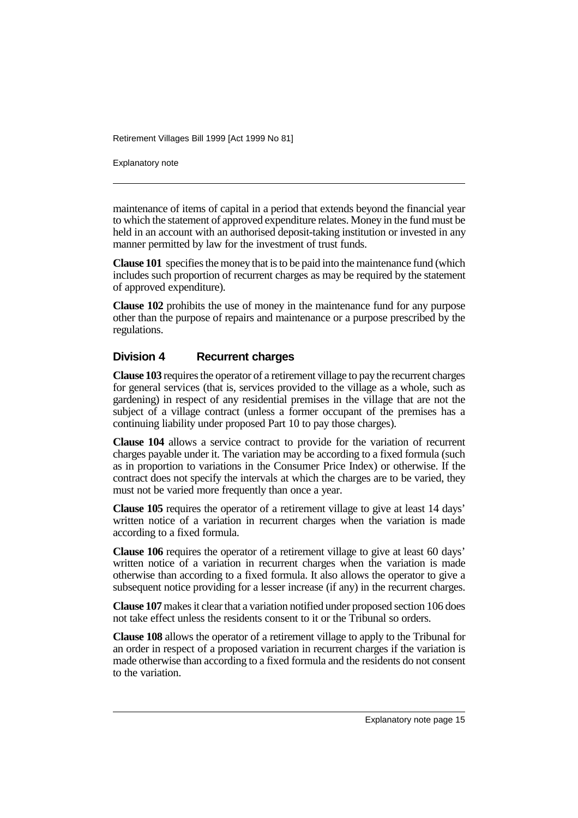Explanatory note

maintenance of items of capital in a period that extends beyond the financial year to which the statement of approved expenditure relates. Money in the fund must be held in an account with an authorised deposit-taking institution or invested in any manner permitted by law for the investment of trust funds.

**Clause 101** specifies the money that is to be paid into the maintenance fund (which includes such proportion of recurrent charges as may be required by the statement of approved expenditure).

**Clause 102** prohibits the use of money in the maintenance fund for any purpose other than the purpose of repairs and maintenance or a purpose prescribed by the regulations.

#### **Division 4 Recurrent charges**

**Clause 103** requires the operator of a retirement village to pay the recurrent charges for general services (that is, services provided to the village as a whole, such as gardening) in respect of any residential premises in the village that are not the subject of a village contract (unless a former occupant of the premises has a continuing liability under proposed Part 10 to pay those charges).

**Clause 104** allows a service contract to provide for the variation of recurrent charges payable under it. The variation may be according to a fixed formula (such as in proportion to variations in the Consumer Price Index) or otherwise. If the contract does not specify the intervals at which the charges are to be varied, they must not be varied more frequently than once a year.

**Clause 105** requires the operator of a retirement village to give at least 14 days' written notice of a variation in recurrent charges when the variation is made according to a fixed formula.

**Clause 106** requires the operator of a retirement village to give at least 60 days' written notice of a variation in recurrent charges when the variation is made otherwise than according to a fixed formula. It also allows the operator to give a subsequent notice providing for a lesser increase (if any) in the recurrent charges.

**Clause 107** makes it clear that a variation notified under proposed section 106 does not take effect unless the residents consent to it or the Tribunal so orders.

**Clause 108** allows the operator of a retirement village to apply to the Tribunal for an order in respect of a proposed variation in recurrent charges if the variation is made otherwise than according to a fixed formula and the residents do not consent to the variation.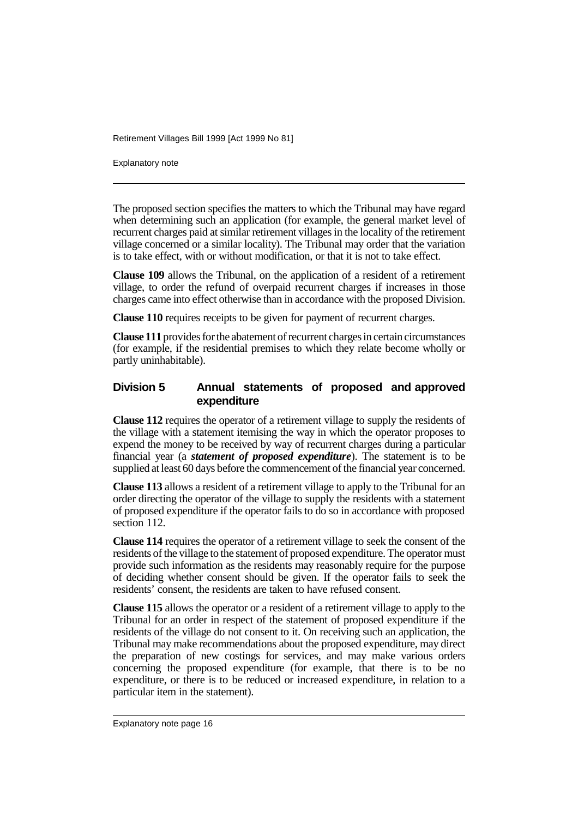Explanatory note

The proposed section specifies the matters to which the Tribunal may have regard when determining such an application (for example, the general market level of recurrent charges paid at similar retirement villages in the locality of the retirement village concerned or a similar locality). The Tribunal may order that the variation is to take effect, with or without modification, or that it is not to take effect.

**Clause 109** allows the Tribunal, on the application of a resident of a retirement village, to order the refund of overpaid recurrent charges if increases in those charges came into effect otherwise than in accordance with the proposed Division.

**Clause 110** requires receipts to be given for payment of recurrent charges.

**Clause 111** provides for the abatement of recurrent charges in certain circumstances (for example, if the residential premises to which they relate become wholly or partly uninhabitable).

#### **Division 5 Annual statements of proposed and approved expenditure**

**Clause 112** requires the operator of a retirement village to supply the residents of the village with a statement itemising the way in which the operator proposes to expend the money to be received by way of recurrent charges during a particular financial year (a *statement of proposed expenditure*). The statement is to be supplied at least 60 days before the commencement of the financial year concerned.

**Clause 113** allows a resident of a retirement village to apply to the Tribunal for an order directing the operator of the village to supply the residents with a statement of proposed expenditure if the operator fails to do so in accordance with proposed section 112.

**Clause 114** requires the operator of a retirement village to seek the consent of the residents of the village to the statement of proposed expenditure. The operator must provide such information as the residents may reasonably require for the purpose of deciding whether consent should be given. If the operator fails to seek the residents' consent, the residents are taken to have refused consent.

**Clause 115** allows the operator or a resident of a retirement village to apply to the Tribunal for an order in respect of the statement of proposed expenditure if the residents of the village do not consent to it. On receiving such an application, the Tribunal may make recommendations about the proposed expenditure, may direct the preparation of new costings for services, and may make various orders concerning the proposed expenditure (for example, that there is to be no expenditure, or there is to be reduced or increased expenditure, in relation to a particular item in the statement).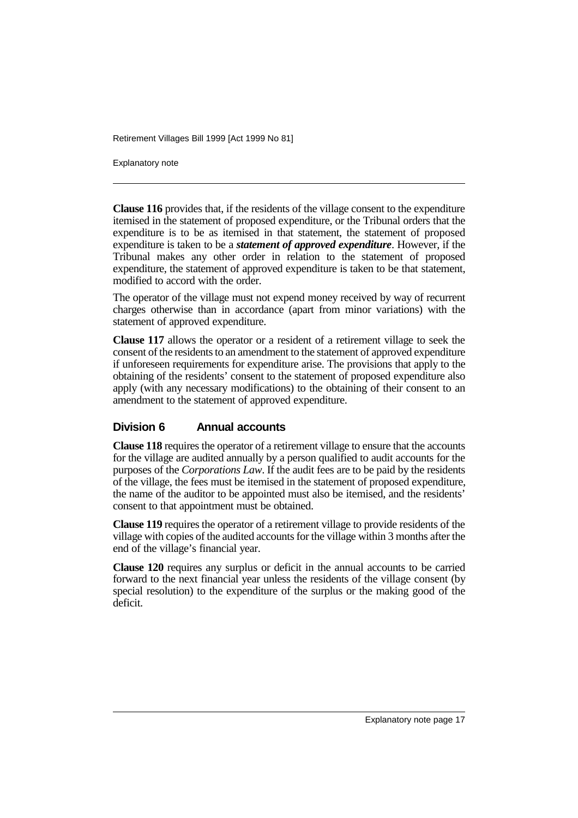Explanatory note

**Clause 116** provides that, if the residents of the village consent to the expenditure itemised in the statement of proposed expenditure, or the Tribunal orders that the expenditure is to be as itemised in that statement, the statement of proposed expenditure is taken to be a *statement of approved expenditure*. However, if the Tribunal makes any other order in relation to the statement of proposed expenditure, the statement of approved expenditure is taken to be that statement, modified to accord with the order.

The operator of the village must not expend money received by way of recurrent charges otherwise than in accordance (apart from minor variations) with the statement of approved expenditure.

**Clause 117** allows the operator or a resident of a retirement village to seek the consent of the residents to an amendment to the statement of approved expenditure if unforeseen requirements for expenditure arise. The provisions that apply to the obtaining of the residents' consent to the statement of proposed expenditure also apply (with any necessary modifications) to the obtaining of their consent to an amendment to the statement of approved expenditure.

#### **Division 6 Annual accounts**

**Clause 118** requires the operator of a retirement village to ensure that the accounts for the village are audited annually by a person qualified to audit accounts for the purposes of the *Corporations Law*. If the audit fees are to be paid by the residents of the village, the fees must be itemised in the statement of proposed expenditure, the name of the auditor to be appointed must also be itemised, and the residents' consent to that appointment must be obtained.

**Clause 119** requires the operator of a retirement village to provide residents of the village with copies of the audited accounts for the village within 3 months after the end of the village's financial year.

**Clause 120** requires any surplus or deficit in the annual accounts to be carried forward to the next financial year unless the residents of the village consent (by special resolution) to the expenditure of the surplus or the making good of the deficit.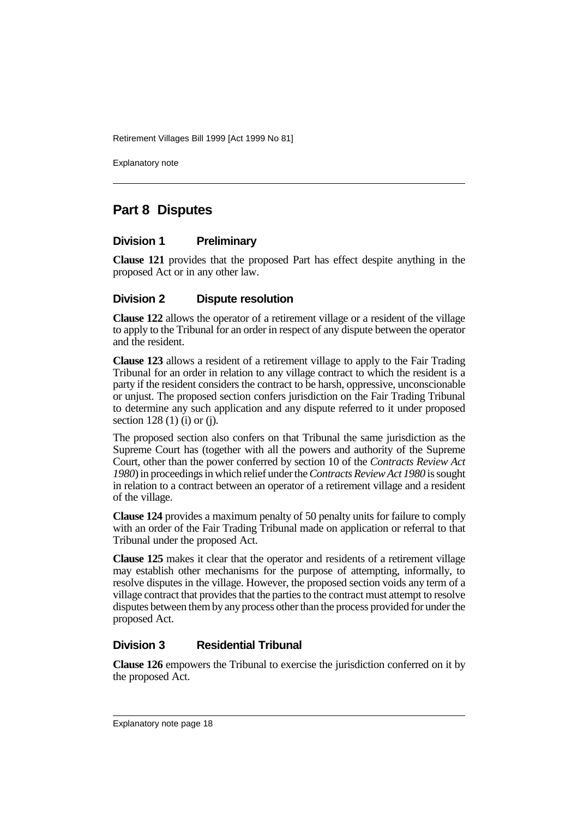Explanatory note

## **Part 8 Disputes**

#### **Division 1 Preliminary**

**Clause 121** provides that the proposed Part has effect despite anything in the proposed Act or in any other law.

#### **Division 2 Dispute resolution**

**Clause 122** allows the operator of a retirement village or a resident of the village to apply to the Tribunal for an order in respect of any dispute between the operator and the resident.

**Clause 123** allows a resident of a retirement village to apply to the Fair Trading Tribunal for an order in relation to any village contract to which the resident is a party if the resident considers the contract to be harsh, oppressive, unconscionable or unjust. The proposed section confers jurisdiction on the Fair Trading Tribunal to determine any such application and any dispute referred to it under proposed section  $128(1)$  (i) or (i).

The proposed section also confers on that Tribunal the same jurisdiction as the Supreme Court has (together with all the powers and authority of the Supreme Court, other than the power conferred by section 10 of the *Contracts Review Act 1980*) in proceedings in which relief under the *Contracts Review Act 1980* is sought in relation to a contract between an operator of a retirement village and a resident of the village.

**Clause 124** provides a maximum penalty of 50 penalty units for failure to comply with an order of the Fair Trading Tribunal made on application or referral to that Tribunal under the proposed Act.

**Clause 125** makes it clear that the operator and residents of a retirement village may establish other mechanisms for the purpose of attempting, informally, to resolve disputes in the village. However, the proposed section voids any term of a village contract that provides that the parties to the contract must attempt to resolve disputes between them by any process other than the process provided for under the proposed Act.

#### **Division 3 Residential Tribunal**

**Clause 126** empowers the Tribunal to exercise the jurisdiction conferred on it by the proposed Act.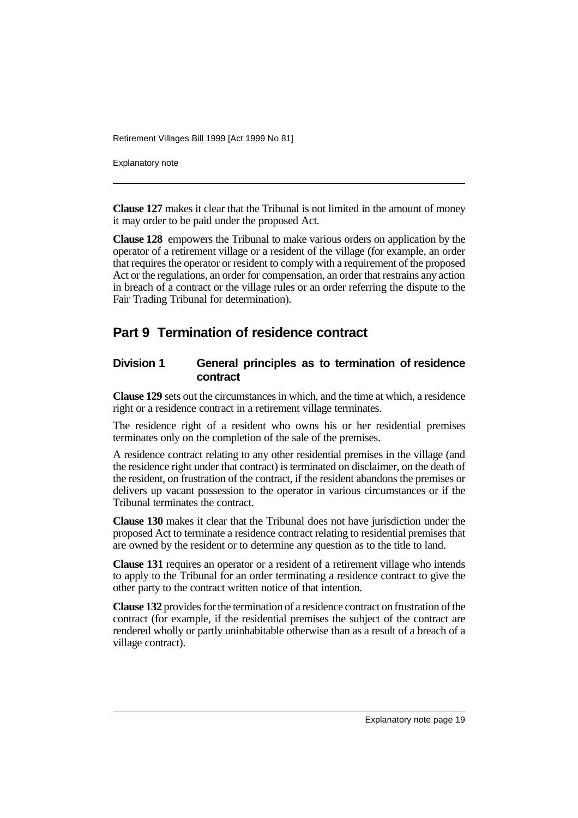Explanatory note

**Clause 127** makes it clear that the Tribunal is not limited in the amount of money it may order to be paid under the proposed Act.

**Clause 128** empowers the Tribunal to make various orders on application by the operator of a retirement village or a resident of the village (for example, an order that requires the operator or resident to comply with a requirement of the proposed Act or the regulations, an order for compensation, an order that restrains any action in breach of a contract or the village rules or an order referring the dispute to the Fair Trading Tribunal for determination).

## **Part 9 Termination of residence contract**

#### **Division 1 General principles as to termination of residence contract**

**Clause 129** sets out the circumstances in which, and the time at which, a residence right or a residence contract in a retirement village terminates.

The residence right of a resident who owns his or her residential premises terminates only on the completion of the sale of the premises.

A residence contract relating to any other residential premises in the village (and the residence right under that contract) is terminated on disclaimer, on the death of the resident, on frustration of the contract, if the resident abandons the premises or delivers up vacant possession to the operator in various circumstances or if the Tribunal terminates the contract.

**Clause 130** makes it clear that the Tribunal does not have jurisdiction under the proposed Act to terminate a residence contract relating to residential premises that are owned by the resident or to determine any question as to the title to land.

**Clause 131** requires an operator or a resident of a retirement village who intends to apply to the Tribunal for an order terminating a residence contract to give the other party to the contract written notice of that intention.

**Clause 132** provides for the termination of a residence contract on frustration of the contract (for example, if the residential premises the subject of the contract are rendered wholly or partly uninhabitable otherwise than as a result of a breach of a village contract).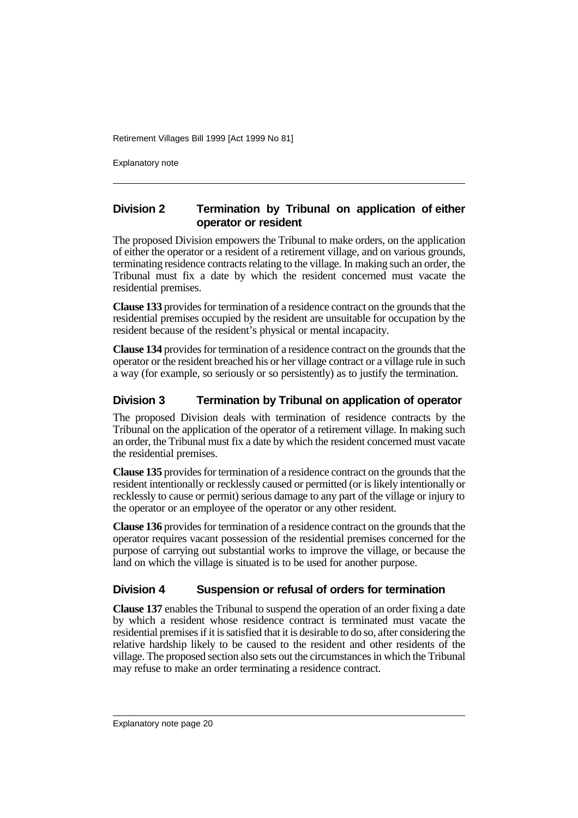Explanatory note

#### **Division 2 Termination by Tribunal on application of either operator or resident**

The proposed Division empowers the Tribunal to make orders, on the application of either the operator or a resident of a retirement village, and on various grounds, terminating residence contracts relating to the village. In making such an order, the Tribunal must fix a date by which the resident concerned must vacate the residential premises.

**Clause 133** provides for termination of a residence contract on the grounds that the residential premises occupied by the resident are unsuitable for occupation by the resident because of the resident's physical or mental incapacity.

**Clause 134** provides for termination of a residence contract on the grounds that the operator or the resident breached his or her village contract or a village rule in such a way (for example, so seriously or so persistently) as to justify the termination.

#### **Division 3 Termination by Tribunal on application of operator**

The proposed Division deals with termination of residence contracts by the Tribunal on the application of the operator of a retirement village. In making such an order, the Tribunal must fix a date by which the resident concerned must vacate the residential premises.

**Clause 135** provides for termination of a residence contract on the grounds that the resident intentionally or recklessly caused or permitted (or is likely intentionally or recklessly to cause or permit) serious damage to any part of the village or injury to the operator or an employee of the operator or any other resident.

**Clause 136** provides for termination of a residence contract on the grounds that the operator requires vacant possession of the residential premises concerned for the purpose of carrying out substantial works to improve the village, or because the land on which the village is situated is to be used for another purpose.

#### **Division 4 Suspension or refusal of orders for termination**

**Clause 137** enables the Tribunal to suspend the operation of an order fixing a date by which a resident whose residence contract is terminated must vacate the residential premises if it is satisfied that it is desirable to do so, after considering the relative hardship likely to be caused to the resident and other residents of the village. The proposed section also sets out the circumstances in which the Tribunal may refuse to make an order terminating a residence contract.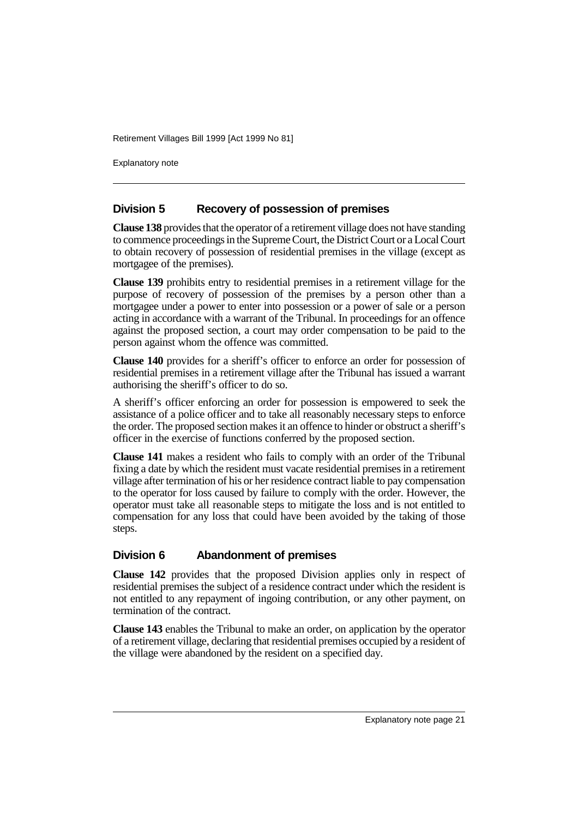Explanatory note

#### **Division 5 Recovery of possession of premises**

**Clause 138** provides that the operator of a retirement village does not have standing to commence proceedings in the Supreme Court, the District Court or a Local Court to obtain recovery of possession of residential premises in the village (except as mortgagee of the premises).

**Clause 139** prohibits entry to residential premises in a retirement village for the purpose of recovery of possession of the premises by a person other than a mortgagee under a power to enter into possession or a power of sale or a person acting in accordance with a warrant of the Tribunal. In proceedings for an offence against the proposed section, a court may order compensation to be paid to the person against whom the offence was committed.

**Clause 140** provides for a sheriff's officer to enforce an order for possession of residential premises in a retirement village after the Tribunal has issued a warrant authorising the sheriff's officer to do so.

A sheriff's officer enforcing an order for possession is empowered to seek the assistance of a police officer and to take all reasonably necessary steps to enforce the order. The proposed section makes it an offence to hinder or obstruct a sheriff's officer in the exercise of functions conferred by the proposed section.

**Clause 141** makes a resident who fails to comply with an order of the Tribunal fixing a date by which the resident must vacate residential premises in a retirement village after termination of his or her residence contract liable to pay compensation to the operator for loss caused by failure to comply with the order. However, the operator must take all reasonable steps to mitigate the loss and is not entitled to compensation for any loss that could have been avoided by the taking of those steps.

#### **Division 6 Abandonment of premises**

**Clause 142** provides that the proposed Division applies only in respect of residential premises the subject of a residence contract under which the resident is not entitled to any repayment of ingoing contribution, or any other payment, on termination of the contract.

**Clause 143** enables the Tribunal to make an order, on application by the operator of a retirement village, declaring that residential premises occupied by a resident of the village were abandoned by the resident on a specified day.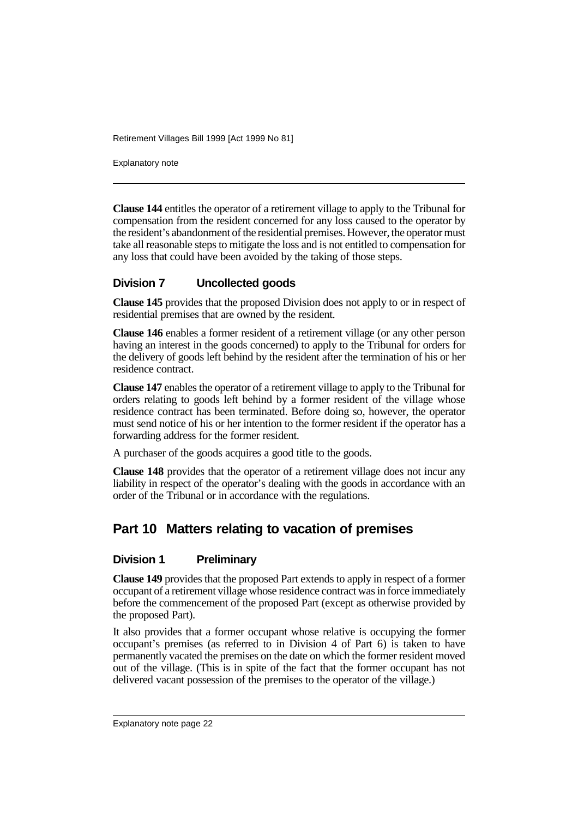Explanatory note

**Clause 144** entitles the operator of a retirement village to apply to the Tribunal for compensation from the resident concerned for any loss caused to the operator by the resident's abandonment of the residential premises. However, the operator must take all reasonable steps to mitigate the loss and is not entitled to compensation for any loss that could have been avoided by the taking of those steps.

#### **Division 7 Uncollected goods**

**Clause 145** provides that the proposed Division does not apply to or in respect of residential premises that are owned by the resident.

**Clause 146** enables a former resident of a retirement village (or any other person having an interest in the goods concerned) to apply to the Tribunal for orders for the delivery of goods left behind by the resident after the termination of his or her residence contract.

**Clause 147** enables the operator of a retirement village to apply to the Tribunal for orders relating to goods left behind by a former resident of the village whose residence contract has been terminated. Before doing so, however, the operator must send notice of his or her intention to the former resident if the operator has a forwarding address for the former resident.

A purchaser of the goods acquires a good title to the goods.

**Clause 148** provides that the operator of a retirement village does not incur any liability in respect of the operator's dealing with the goods in accordance with an order of the Tribunal or in accordance with the regulations.

## **Part 10 Matters relating to vacation of premises**

#### **Division 1 Preliminary**

**Clause 149** provides that the proposed Part extends to apply in respect of a former occupant of a retirement village whose residence contract was in force immediately before the commencement of the proposed Part (except as otherwise provided by the proposed Part).

It also provides that a former occupant whose relative is occupying the former occupant's premises (as referred to in Division 4 of Part 6) is taken to have permanently vacated the premises on the date on which the former resident moved out of the village. (This is in spite of the fact that the former occupant has not delivered vacant possession of the premises to the operator of the village.)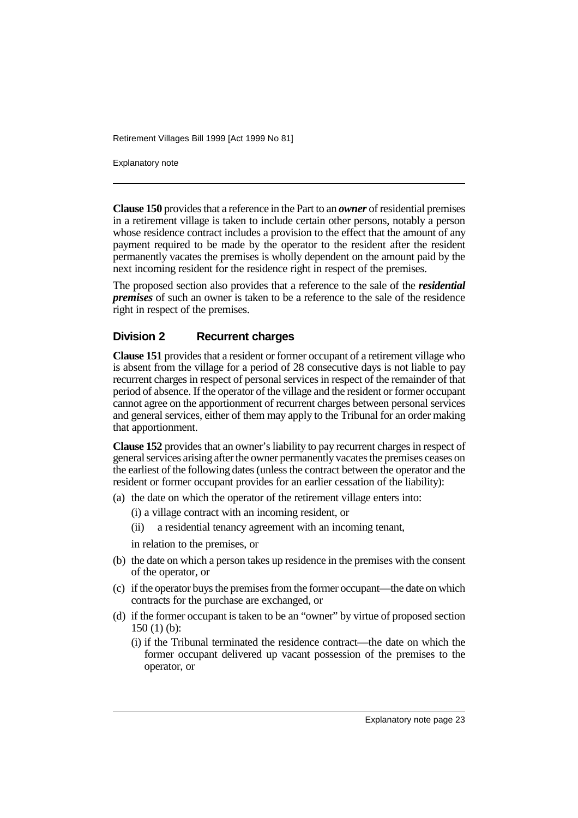Explanatory note

**Clause 150** provides that a reference in the Part to an *owner* of residential premises in a retirement village is taken to include certain other persons, notably a person whose residence contract includes a provision to the effect that the amount of any payment required to be made by the operator to the resident after the resident permanently vacates the premises is wholly dependent on the amount paid by the next incoming resident for the residence right in respect of the premises.

The proposed section also provides that a reference to the sale of the *residential premises* of such an owner is taken to be a reference to the sale of the residence right in respect of the premises.

#### **Division 2 Recurrent charges**

**Clause 151** provides that a resident or former occupant of a retirement village who is absent from the village for a period of 28 consecutive days is not liable to pay recurrent charges in respect of personal services in respect of the remainder of that period of absence. If the operator of the village and the resident or former occupant cannot agree on the apportionment of recurrent charges between personal services and general services, either of them may apply to the Tribunal for an order making that apportionment.

**Clause 152** provides that an owner's liability to pay recurrent charges in respect of general services arising after the owner permanently vacates the premises ceases on the earliest of the following dates (unless the contract between the operator and the resident or former occupant provides for an earlier cessation of the liability):

- (a) the date on which the operator of the retirement village enters into:
	- (i) a village contract with an incoming resident, or
	- (ii) a residential tenancy agreement with an incoming tenant,
	- in relation to the premises, or
- (b) the date on which a person takes up residence in the premises with the consent of the operator, or
- (c) if the operator buys the premises from the former occupant—the date on which contracts for the purchase are exchanged, or
- (d) if the former occupant is taken to be an "owner" by virtue of proposed section 150 (1) (b):
	- (i) if the Tribunal terminated the residence contract—the date on which the former occupant delivered up vacant possession of the premises to the operator, or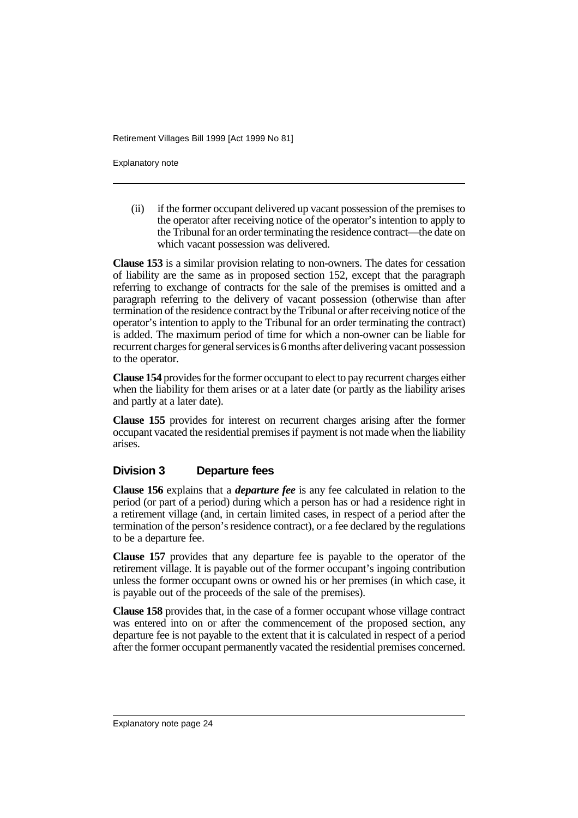Explanatory note

(ii) if the former occupant delivered up vacant possession of the premises to the operator after receiving notice of the operator's intention to apply to the Tribunal for an order terminating the residence contract—the date on which vacant possession was delivered.

**Clause 153** is a similar provision relating to non-owners. The dates for cessation of liability are the same as in proposed section 152, except that the paragraph referring to exchange of contracts for the sale of the premises is omitted and a paragraph referring to the delivery of vacant possession (otherwise than after termination of the residence contract by the Tribunal or after receiving notice of the operator's intention to apply to the Tribunal for an order terminating the contract) is added. The maximum period of time for which a non-owner can be liable for recurrent charges for general services is 6 months after delivering vacant possession to the operator.

**Clause 154** provides for the former occupant to elect to pay recurrent charges either when the liability for them arises or at a later date (or partly as the liability arises and partly at a later date).

**Clause 155** provides for interest on recurrent charges arising after the former occupant vacated the residential premises if payment is not made when the liability arises.

#### **Division 3 Departure fees**

**Clause 156** explains that a *departure fee* is any fee calculated in relation to the period (or part of a period) during which a person has or had a residence right in a retirement village (and, in certain limited cases, in respect of a period after the termination of the person's residence contract), or a fee declared by the regulations to be a departure fee.

**Clause 157** provides that any departure fee is payable to the operator of the retirement village. It is payable out of the former occupant's ingoing contribution unless the former occupant owns or owned his or her premises (in which case, it is payable out of the proceeds of the sale of the premises).

**Clause 158** provides that, in the case of a former occupant whose village contract was entered into on or after the commencement of the proposed section, any departure fee is not payable to the extent that it is calculated in respect of a period after the former occupant permanently vacated the residential premises concerned.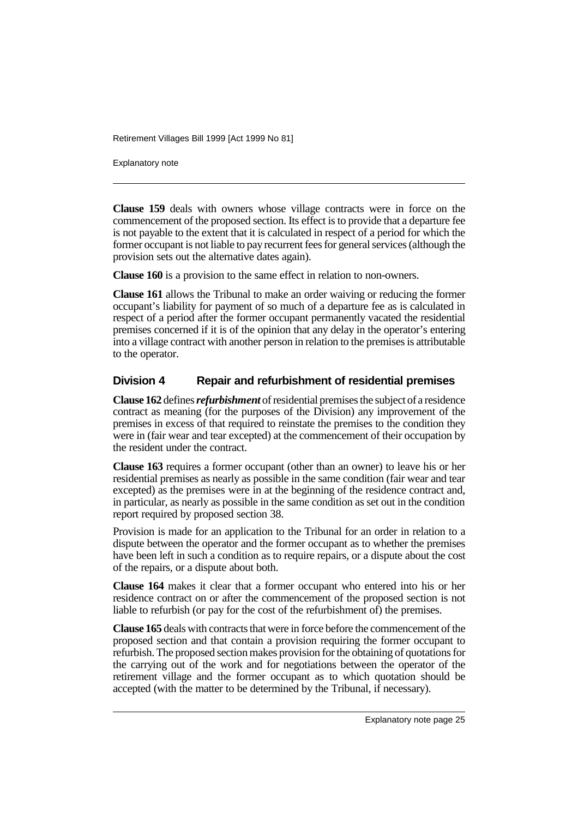Explanatory note

**Clause 159** deals with owners whose village contracts were in force on the commencement of the proposed section. Its effect is to provide that a departure fee is not payable to the extent that it is calculated in respect of a period for which the former occupant is not liable to pay recurrent fees for general services (although the provision sets out the alternative dates again).

**Clause 160** is a provision to the same effect in relation to non-owners.

**Clause 161** allows the Tribunal to make an order waiving or reducing the former occupant's liability for payment of so much of a departure fee as is calculated in respect of a period after the former occupant permanently vacated the residential premises concerned if it is of the opinion that any delay in the operator's entering into a village contract with another person in relation to the premises is attributable to the operator.

#### **Division 4 Repair and refurbishment of residential premises**

**Clause 162** defines *refurbishment* of residential premises the subject of a residence contract as meaning (for the purposes of the Division) any improvement of the premises in excess of that required to reinstate the premises to the condition they were in (fair wear and tear excepted) at the commencement of their occupation by the resident under the contract.

**Clause 163** requires a former occupant (other than an owner) to leave his or her residential premises as nearly as possible in the same condition (fair wear and tear excepted) as the premises were in at the beginning of the residence contract and, in particular, as nearly as possible in the same condition as set out in the condition report required by proposed section 38.

Provision is made for an application to the Tribunal for an order in relation to a dispute between the operator and the former occupant as to whether the premises have been left in such a condition as to require repairs, or a dispute about the cost of the repairs, or a dispute about both.

**Clause 164** makes it clear that a former occupant who entered into his or her residence contract on or after the commencement of the proposed section is not liable to refurbish (or pay for the cost of the refurbishment of) the premises.

**Clause 165** deals with contracts that were in force before the commencement of the proposed section and that contain a provision requiring the former occupant to refurbish. The proposed section makes provision for the obtaining of quotations for the carrying out of the work and for negotiations between the operator of the retirement village and the former occupant as to which quotation should be accepted (with the matter to be determined by the Tribunal, if necessary).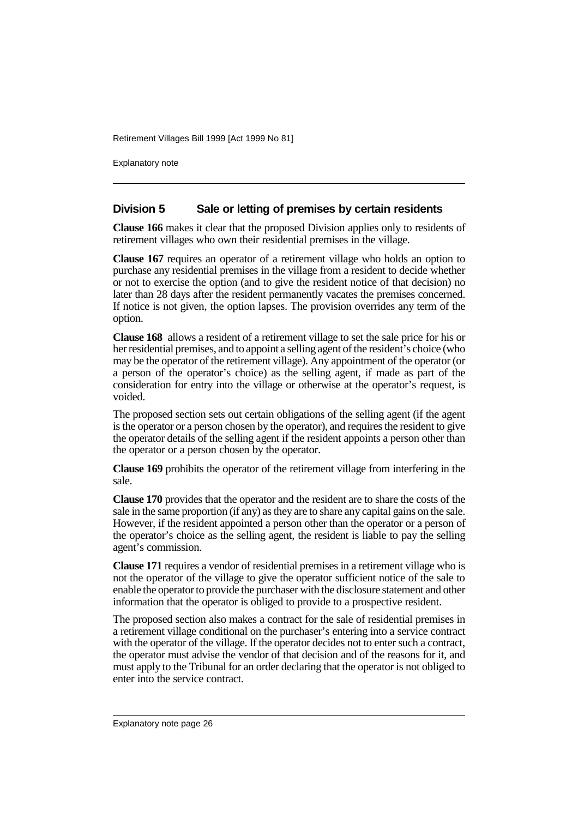Explanatory note

#### **Division 5 Sale or letting of premises by certain residents**

**Clause 166** makes it clear that the proposed Division applies only to residents of retirement villages who own their residential premises in the village.

**Clause 167** requires an operator of a retirement village who holds an option to purchase any residential premises in the village from a resident to decide whether or not to exercise the option (and to give the resident notice of that decision) no later than 28 days after the resident permanently vacates the premises concerned. If notice is not given, the option lapses. The provision overrides any term of the option.

**Clause 168** allows a resident of a retirement village to set the sale price for his or her residential premises, and to appoint a selling agent of the resident's choice (who may be the operator of the retirement village). Any appointment of the operator (or a person of the operator's choice) as the selling agent, if made as part of the consideration for entry into the village or otherwise at the operator's request, is voided.

The proposed section sets out certain obligations of the selling agent (if the agent is the operator or a person chosen by the operator), and requires the resident to give the operator details of the selling agent if the resident appoints a person other than the operator or a person chosen by the operator.

**Clause 169** prohibits the operator of the retirement village from interfering in the sale.

**Clause 170** provides that the operator and the resident are to share the costs of the sale in the same proportion (if any) as they are to share any capital gains on the sale. However, if the resident appointed a person other than the operator or a person of the operator's choice as the selling agent, the resident is liable to pay the selling agent's commission.

**Clause 171** requires a vendor of residential premises in a retirement village who is not the operator of the village to give the operator sufficient notice of the sale to enable the operator to provide the purchaser with the disclosure statement and other information that the operator is obliged to provide to a prospective resident.

The proposed section also makes a contract for the sale of residential premises in a retirement village conditional on the purchaser's entering into a service contract with the operator of the village. If the operator decides not to enter such a contract, the operator must advise the vendor of that decision and of the reasons for it, and must apply to the Tribunal for an order declaring that the operator is not obliged to enter into the service contract.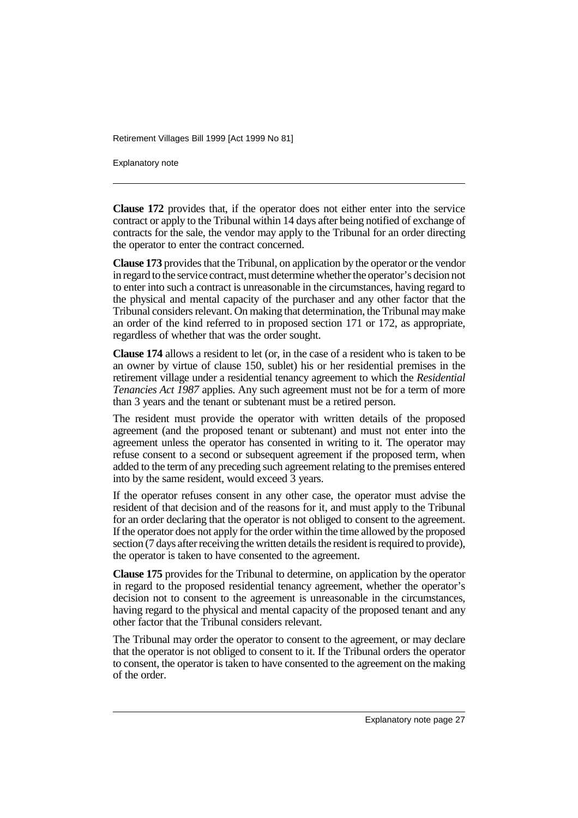Explanatory note

**Clause 172** provides that, if the operator does not either enter into the service contract or apply to the Tribunal within 14 days after being notified of exchange of contracts for the sale, the vendor may apply to the Tribunal for an order directing the operator to enter the contract concerned.

**Clause 173** provides that the Tribunal, on application by the operator or the vendor in regard to the service contract, must determine whether the operator's decision not to enter into such a contract is unreasonable in the circumstances, having regard to the physical and mental capacity of the purchaser and any other factor that the Tribunal considers relevant. On making that determination, the Tribunal may make an order of the kind referred to in proposed section 171 or 172, as appropriate, regardless of whether that was the order sought.

**Clause 174** allows a resident to let (or, in the case of a resident who is taken to be an owner by virtue of clause 150, sublet) his or her residential premises in the retirement village under a residential tenancy agreement to which the *Residential Tenancies Act 1987* applies. Any such agreement must not be for a term of more than 3 years and the tenant or subtenant must be a retired person.

The resident must provide the operator with written details of the proposed agreement (and the proposed tenant or subtenant) and must not enter into the agreement unless the operator has consented in writing to it. The operator may refuse consent to a second or subsequent agreement if the proposed term, when added to the term of any preceding such agreement relating to the premises entered into by the same resident, would exceed 3 years.

If the operator refuses consent in any other case, the operator must advise the resident of that decision and of the reasons for it, and must apply to the Tribunal for an order declaring that the operator is not obliged to consent to the agreement. If the operator does not apply for the order within the time allowed by the proposed section (7 days after receiving the written details the resident is required to provide), the operator is taken to have consented to the agreement.

**Clause 175** provides for the Tribunal to determine, on application by the operator in regard to the proposed residential tenancy agreement, whether the operator's decision not to consent to the agreement is unreasonable in the circumstances, having regard to the physical and mental capacity of the proposed tenant and any other factor that the Tribunal considers relevant.

The Tribunal may order the operator to consent to the agreement, or may declare that the operator is not obliged to consent to it. If the Tribunal orders the operator to consent, the operator is taken to have consented to the agreement on the making of the order.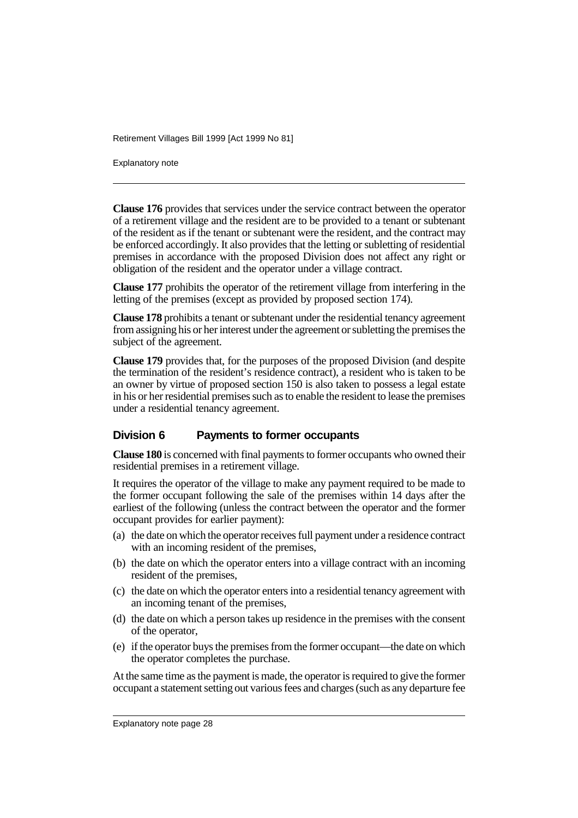Explanatory note

**Clause 176** provides that services under the service contract between the operator of a retirement village and the resident are to be provided to a tenant or subtenant of the resident as if the tenant or subtenant were the resident, and the contract may be enforced accordingly. It also provides that the letting or subletting of residential premises in accordance with the proposed Division does not affect any right or obligation of the resident and the operator under a village contract.

**Clause 177** prohibits the operator of the retirement village from interfering in the letting of the premises (except as provided by proposed section 174).

**Clause 178** prohibits a tenant or subtenant under the residential tenancy agreement from assigning his or her interest under the agreement or subletting the premises the subject of the agreement.

**Clause 179** provides that, for the purposes of the proposed Division (and despite the termination of the resident's residence contract), a resident who is taken to be an owner by virtue of proposed section 150 is also taken to possess a legal estate in his or her residential premises such as to enable the resident to lease the premises under a residential tenancy agreement.

#### **Division 6 Payments to former occupants**

**Clause 180** is concerned with final payments to former occupants who owned their residential premises in a retirement village.

It requires the operator of the village to make any payment required to be made to the former occupant following the sale of the premises within 14 days after the earliest of the following (unless the contract between the operator and the former occupant provides for earlier payment):

- (a) the date on which the operator receives full payment under a residence contract with an incoming resident of the premises,
- (b) the date on which the operator enters into a village contract with an incoming resident of the premises,
- (c) the date on which the operator enters into a residential tenancy agreement with an incoming tenant of the premises,
- (d) the date on which a person takes up residence in the premises with the consent of the operator,
- (e) if the operator buys the premises from the former occupant—the date on which the operator completes the purchase.

At the same time as the payment is made, the operator is required to give the former occupant a statement setting out various fees and charges (such as any departure fee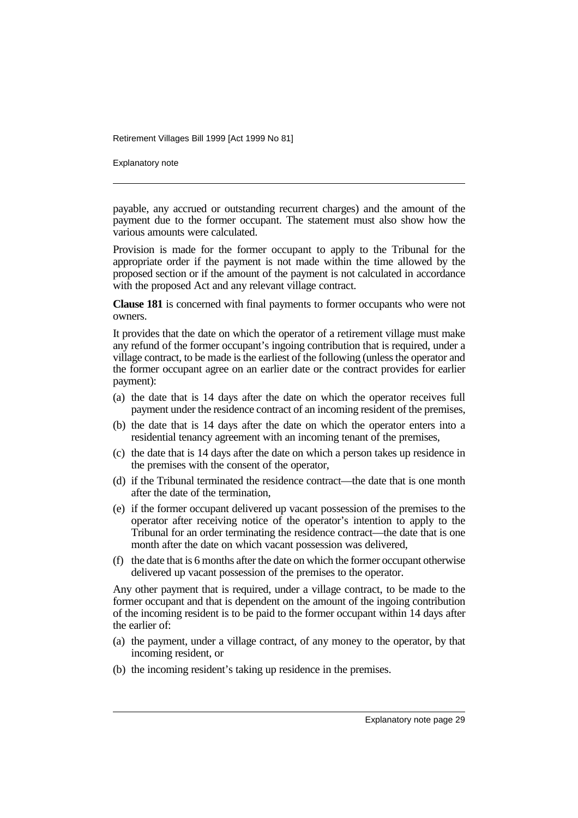Explanatory note

payable, any accrued or outstanding recurrent charges) and the amount of the payment due to the former occupant. The statement must also show how the various amounts were calculated.

Provision is made for the former occupant to apply to the Tribunal for the appropriate order if the payment is not made within the time allowed by the proposed section or if the amount of the payment is not calculated in accordance with the proposed Act and any relevant village contract.

**Clause 181** is concerned with final payments to former occupants who were not owners.

It provides that the date on which the operator of a retirement village must make any refund of the former occupant's ingoing contribution that is required, under a village contract, to be made is the earliest of the following (unless the operator and the former occupant agree on an earlier date or the contract provides for earlier payment):

- (a) the date that is 14 days after the date on which the operator receives full payment under the residence contract of an incoming resident of the premises,
- (b) the date that is 14 days after the date on which the operator enters into a residential tenancy agreement with an incoming tenant of the premises,
- (c) the date that is 14 days after the date on which a person takes up residence in the premises with the consent of the operator,
- (d) if the Tribunal terminated the residence contract—the date that is one month after the date of the termination,
- (e) if the former occupant delivered up vacant possession of the premises to the operator after receiving notice of the operator's intention to apply to the Tribunal for an order terminating the residence contract—the date that is one month after the date on which vacant possession was delivered,
- (f) the date that is 6 months after the date on which the former occupant otherwise delivered up vacant possession of the premises to the operator.

Any other payment that is required, under a village contract, to be made to the former occupant and that is dependent on the amount of the ingoing contribution of the incoming resident is to be paid to the former occupant within 14 days after the earlier of:

- (a) the payment, under a village contract, of any money to the operator, by that incoming resident, or
- (b) the incoming resident's taking up residence in the premises.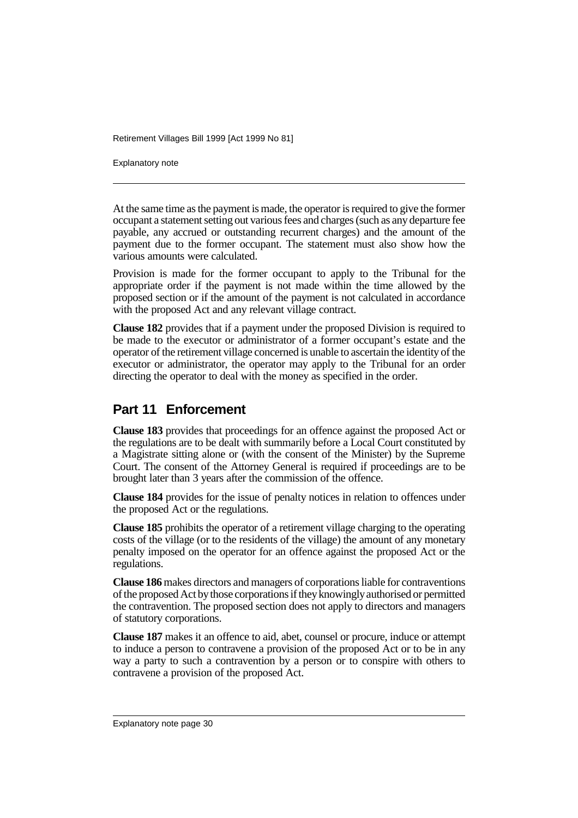Explanatory note

At the same time as the payment is made, the operator is required to give the former occupant a statement setting out various fees and charges (such as any departure fee payable, any accrued or outstanding recurrent charges) and the amount of the payment due to the former occupant. The statement must also show how the various amounts were calculated.

Provision is made for the former occupant to apply to the Tribunal for the appropriate order if the payment is not made within the time allowed by the proposed section or if the amount of the payment is not calculated in accordance with the proposed Act and any relevant village contract.

**Clause 182** provides that if a payment under the proposed Division is required to be made to the executor or administrator of a former occupant's estate and the operator of the retirement village concerned is unable to ascertain the identity of the executor or administrator, the operator may apply to the Tribunal for an order directing the operator to deal with the money as specified in the order.

### **Part 11 Enforcement**

**Clause 183** provides that proceedings for an offence against the proposed Act or the regulations are to be dealt with summarily before a Local Court constituted by a Magistrate sitting alone or (with the consent of the Minister) by the Supreme Court. The consent of the Attorney General is required if proceedings are to be brought later than 3 years after the commission of the offence.

**Clause 184** provides for the issue of penalty notices in relation to offences under the proposed Act or the regulations.

**Clause 185** prohibits the operator of a retirement village charging to the operating costs of the village (or to the residents of the village) the amount of any monetary penalty imposed on the operator for an offence against the proposed Act or the regulations.

**Clause 186** makes directors and managers of corporations liable for contraventions of the proposed Act by those corporations if they knowingly authorised or permitted the contravention. The proposed section does not apply to directors and managers of statutory corporations.

**Clause 187** makes it an offence to aid, abet, counsel or procure, induce or attempt to induce a person to contravene a provision of the proposed Act or to be in any way a party to such a contravention by a person or to conspire with others to contravene a provision of the proposed Act.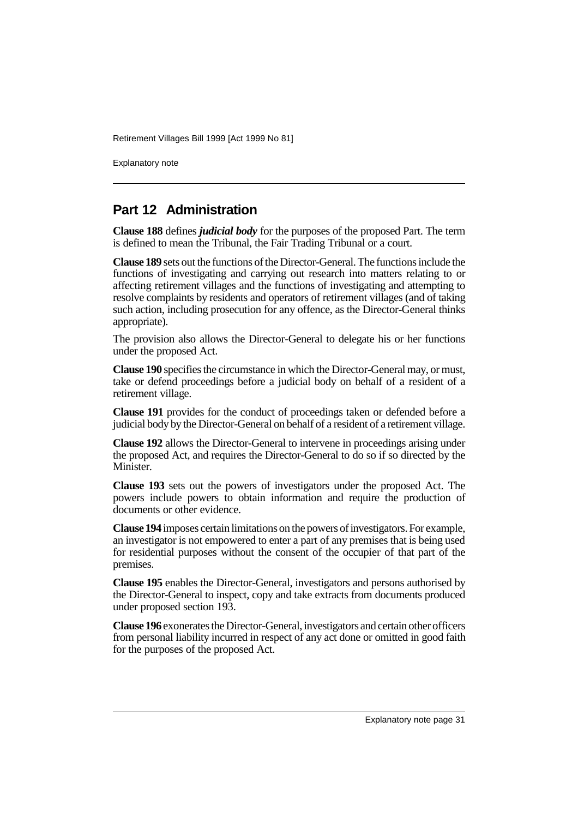Explanatory note

## **Part 12 Administration**

**Clause 188** defines *judicial body* for the purposes of the proposed Part. The term is defined to mean the Tribunal, the Fair Trading Tribunal or a court.

**Clause 189** sets out the functions of the Director-General. The functions include the functions of investigating and carrying out research into matters relating to or affecting retirement villages and the functions of investigating and attempting to resolve complaints by residents and operators of retirement villages (and of taking such action, including prosecution for any offence, as the Director-General thinks appropriate).

The provision also allows the Director-General to delegate his or her functions under the proposed Act.

**Clause 190** specifies the circumstance in which the Director-General may, or must, take or defend proceedings before a judicial body on behalf of a resident of a retirement village.

**Clause 191** provides for the conduct of proceedings taken or defended before a judicial body by the Director-General on behalf of a resident of a retirement village.

**Clause 192** allows the Director-General to intervene in proceedings arising under the proposed Act, and requires the Director-General to do so if so directed by the Minister.

**Clause 193** sets out the powers of investigators under the proposed Act. The powers include powers to obtain information and require the production of documents or other evidence.

**Clause 194** imposes certain limitations on the powers of investigators. For example, an investigator is not empowered to enter a part of any premises that is being used for residential purposes without the consent of the occupier of that part of the premises.

**Clause 195** enables the Director-General, investigators and persons authorised by the Director-General to inspect, copy and take extracts from documents produced under proposed section 193.

**Clause 196** exonerates the Director-General, investigators and certain other officers from personal liability incurred in respect of any act done or omitted in good faith for the purposes of the proposed Act.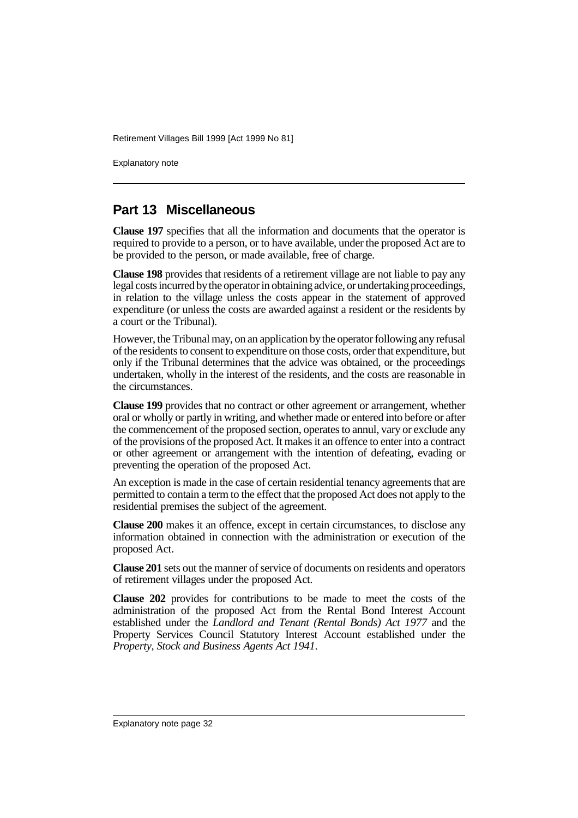Explanatory note

## **Part 13 Miscellaneous**

**Clause 197** specifies that all the information and documents that the operator is required to provide to a person, or to have available, under the proposed Act are to be provided to the person, or made available, free of charge.

**Clause 198** provides that residents of a retirement village are not liable to pay any legal costs incurred by the operator in obtaining advice, or undertaking proceedings, in relation to the village unless the costs appear in the statement of approved expenditure (or unless the costs are awarded against a resident or the residents by a court or the Tribunal).

However, the Tribunal may, on an application by the operator following any refusal of the residents to consent to expenditure on those costs, order that expenditure, but only if the Tribunal determines that the advice was obtained, or the proceedings undertaken, wholly in the interest of the residents, and the costs are reasonable in the circumstances.

**Clause 199** provides that no contract or other agreement or arrangement, whether oral or wholly or partly in writing, and whether made or entered into before or after the commencement of the proposed section, operates to annul, vary or exclude any of the provisions of the proposed Act. It makes it an offence to enter into a contract or other agreement or arrangement with the intention of defeating, evading or preventing the operation of the proposed Act.

An exception is made in the case of certain residential tenancy agreements that are permitted to contain a term to the effect that the proposed Act does not apply to the residential premises the subject of the agreement.

**Clause 200** makes it an offence, except in certain circumstances, to disclose any information obtained in connection with the administration or execution of the proposed Act.

**Clause 201** sets out the manner of service of documents on residents and operators of retirement villages under the proposed Act.

**Clause 202** provides for contributions to be made to meet the costs of the administration of the proposed Act from the Rental Bond Interest Account established under the *Landlord and Tenant (Rental Bonds) Act 1977* and the Property Services Council Statutory Interest Account established under the *Property, Stock and Business Agents Act 1941*.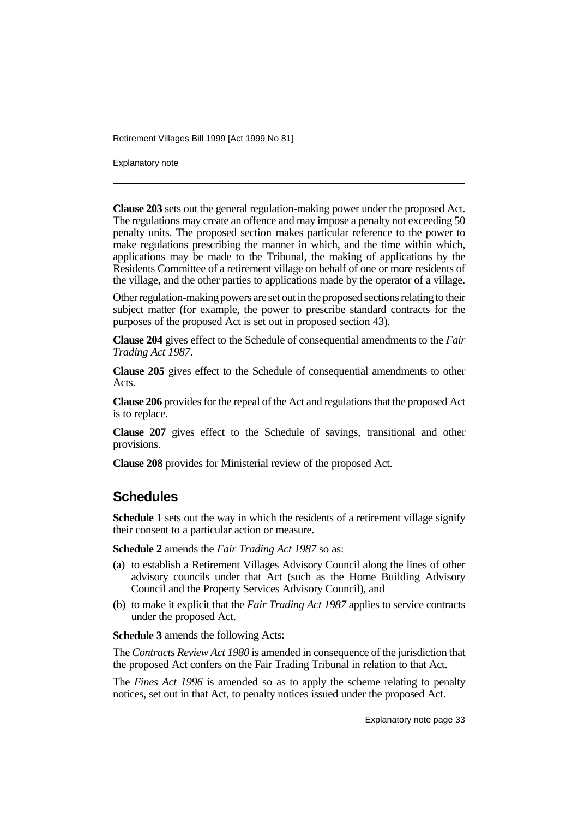Explanatory note

**Clause 203** sets out the general regulation-making power under the proposed Act. The regulations may create an offence and may impose a penalty not exceeding 50 penalty units. The proposed section makes particular reference to the power to make regulations prescribing the manner in which, and the time within which, applications may be made to the Tribunal, the making of applications by the Residents Committee of a retirement village on behalf of one or more residents of the village, and the other parties to applications made by the operator of a village.

Other regulation-making powers are set out in the proposed sections relating to their subject matter (for example, the power to prescribe standard contracts for the purposes of the proposed Act is set out in proposed section 43).

**Clause 204** gives effect to the Schedule of consequential amendments to the *Fair Trading Act 1987*.

**Clause 205** gives effect to the Schedule of consequential amendments to other Acts.

**Clause 206** provides for the repeal of the Act and regulations that the proposed Act is to replace.

**Clause 207** gives effect to the Schedule of savings, transitional and other provisions.

**Clause 208** provides for Ministerial review of the proposed Act.

## **Schedules**

**Schedule 1** sets out the way in which the residents of a retirement village signify their consent to a particular action or measure.

**Schedule 2** amends the *Fair Trading Act 1987* so as:

- (a) to establish a Retirement Villages Advisory Council along the lines of other advisory councils under that Act (such as the Home Building Advisory Council and the Property Services Advisory Council), and
- (b) to make it explicit that the *Fair Trading Act 1987* applies to service contracts under the proposed Act.

**Schedule 3** amends the following Acts:

The *Contracts Review Act 1980* is amended in consequence of the jurisdiction that the proposed Act confers on the Fair Trading Tribunal in relation to that Act.

The *Fines Act 1996* is amended so as to apply the scheme relating to penalty notices, set out in that Act, to penalty notices issued under the proposed Act.